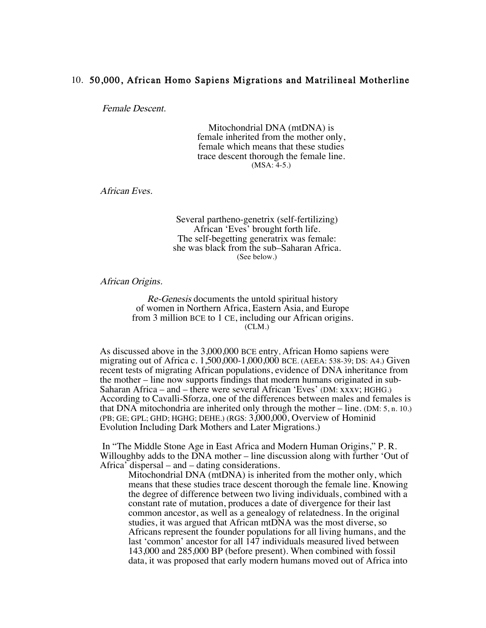## 10. 50,000, African Homo Sapiens Migrations and Matrilineal Motherline

Female Descent.

Mitochondrial DNA (mtDNA) is female inherited from the mother only, female which means that these studies trace descent thorough the female line. (MSA: 4-5.)

African Eves.

Several partheno-genetrix (self-fertilizing) African 'Eves' brought forth life. The self-begetting generatrix was female: she was black from the sub–Saharan Africa. (See below.)

African Origins.

Re-Genesis documents the untold spiritual history of women in Northern Africa, Eastern Asia, and Europe from 3 million BCE to 1 CE, including our African origins. (CLM.)

As discussed above in the 3,000,000 BCE entry, African Homo sapiens were migrating out of Africa c. 1,500,000-1,000,000 BCE. (AEEA: 538-39; DS: A4.) Given recent tests of migrating African populations, evidence of DNA inheritance from the mother – line now supports findings that modern humans originated in sub-Saharan Africa – and – there were several African 'Eves' (DM: xxxv; HGHG.) According to Cavalli-Sforza, one of the differences between males and females is that DNA mitochondria are inherited only through the mother – line. (DM: 5, n. 10.) (PB; GE; GPL; GHD; HGHG; DEHE.) (RGS: 3,000,000, Overview of Hominid Evolution Including Dark Mothers and Later Migrations.)

In "The Middle Stone Age in East Africa and Modern Human Origins," P. R. Willoughby adds to the DNA mother – line discussion along with further 'Out of Africa' dispersal – and – dating considerations.

Mitochondrial DNA (mtDNA) is inherited from the mother only, which means that these studies trace descent thorough the female line. Knowing the degree of difference between two living individuals, combined with a constant rate of mutation, produces a date of divergence for their last common ancestor, as well as a genealogy of relatedness. In the original studies, it was argued that African mtDNA was the most diverse, so Africans represent the founder populations for all living humans, and the last 'common' ancestor for all 147 individuals measured lived between 143,000 and 285,000 BP (before present). When combined with fossil data, it was proposed that early modern humans moved out of Africa into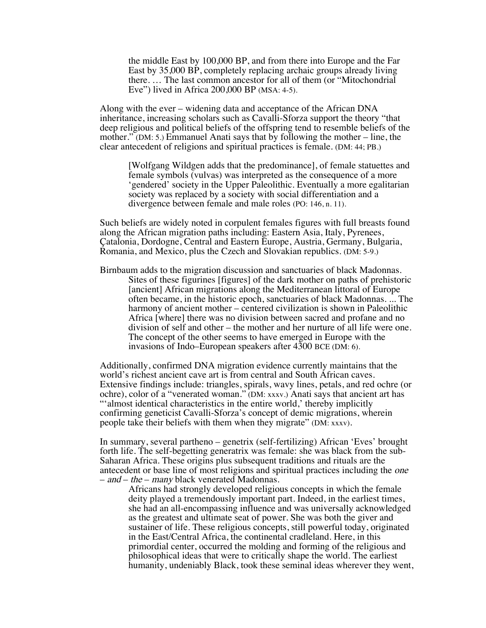the middle East by 100,000 BP, and from there into Europe and the Far East by 35,000 BP, completely replacing archaic groups already living there. … The last common ancestor for all of them (or "Mitochondrial Eve") lived in Africa 200,000 BP (MSA: 4-5).

Along with the ever – widening data and acceptance of the African DNA inheritance, increasing scholars such as Cavalli-Sforza support the theory "that deep religious and political beliefs of the offspring tend to resemble beliefs of the mother." (DM: 5.) Emmanuel Anati says that by following the mother – line, the clear antecedent of religions and spiritual practices is female. (DM: 44; PB.)

[Wolfgang Wildgen adds that the predominance], of female statuettes and female symbols (vulvas) was interpreted as the consequence of a more 'gendered' society in the Upper Paleolithic. Eventually a more egalitarian society was replaced by a society with social differentiation and a divergence between female and male roles (PO: 146, n. 11).

Such beliefs are widely noted in corpulent females figures with full breasts found along the African migration paths including: Eastern Asia, Italy, Pyrenees, Çatalonia, Dordogne, Central and Eastern Europe, Austria, Germany, Bulgaria, Romania, and Mexico, plus the Czech and Slovakian republics. (DM: 5-9.)

Birnbaum adds to the migration discussion and sanctuaries of black Madonnas. Sites of these figurines [figures] of the dark mother on paths of prehistoric [ancient] African migrations along the Mediterranean littoral of Europe often became, in the historic epoch, sanctuaries of black Madonnas. ... The harmony of ancient mother – centered civilization is shown in Paleolithic Africa [where] there was no division between sacred and profane and no division of self and other – the mother and her nurture of all life were one. The concept of the other seems to have emerged in Europe with the invasions of Indo–European speakers after 4300 BCE (DM: 6).

Additionally, confirmed DNA migration evidence currently maintains that the world's richest ancient cave art is from central and South African caves. Extensive findings include: triangles, spirals, wavy lines, petals, and red ochre (or ochre), color of a "venerated woman." (DM: xxxv.) Anati says that ancient art has "'almost identical characteristics in the entire world,' thereby implicitly confirming geneticist Cavalli-Sforza's concept of demic migrations, wherein people take their beliefs with them when they migrate" (DM: xxxv).

In summary, several partheno – genetrix (self-fertilizing) African 'Eves' brought forth life. The self-begetting generatrix was female: she was black from the sub- Saharan Africa. These origins plus subsequent traditions and rituals are the antecedent or base line of most religions and spiritual practices including the one –  $and - the - many black$  venerated Madonnas.

Africans had strongly developed religious concepts in which the female deity played a tremendously important part. Indeed, in the earliest times, she had an all-encompassing influence and was universally acknowledged as the greatest and ultimate seat of power. She was both the giver and sustainer of life. These religious concepts, still powerful today, originated in the East/Central Africa, the continental cradleland. Here, in this primordial center, occurred the molding and forming of the religious and philosophical ideas that were to critically shape the world. The earliest humanity, undeniably Black, took these seminal ideas wherever they went,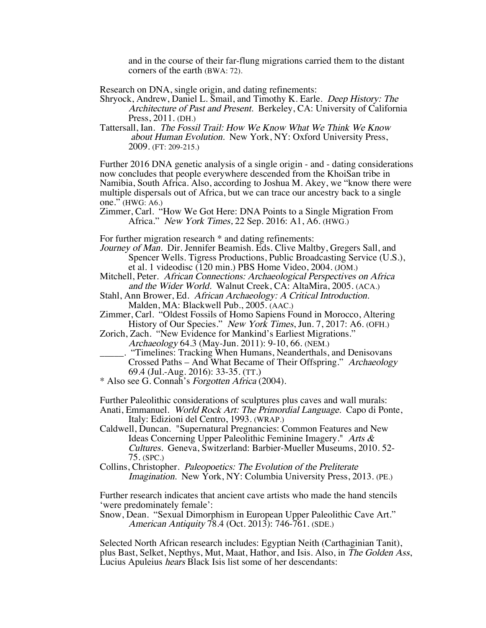and in the course of their far-flung migrations carried them to the distant corners of the earth (BWA: 72).

Research on DNA, single origin, and dating refinements:

Shryock, Andrew, Daniel L. Smail, and Timothy K. Earle. Deep History: The Architecture of Past and Present. Berkeley, CA: University of California Press, 2011. (DH.)

Tattersall, Ian. The Fossil Trail: How We Know What We Think We Know about Human Evolution. New York, NY: Oxford University Press, 2009. (FT: 209-215.)

Further 2016 DNA genetic analysis of a single origin - and - dating considerations now concludes that people everywhere descended from the KhoiSan tribe in Namibia, South Africa. Also, according to Joshua M. Akey, we "know there were multiple dispersals out of Africa, but we can trace our ancestry back to a single one." (HWG: A6.)

Zimmer, Carl. "How We Got Here: DNA Points to a Single Migration From Africa." New York Times, 22 Sep. 2016: A1, A6. (HWG.)

For further migration research  $*$  and dating refinements:

Journey of Man. Dir. Jennifer Beamish. Eds. Clive Maltby, Gregers Sall, and Spencer Wells. Tigress Productions, Public Broadcasting Service (U.S.), et al. 1 videodisc (120 min.) PBS Home Video, 2004. (JOM.)

Mitchell, Peter. African Connections: Archaeological Perspectives on Africa and the Wider World. Walnut Creek, CA: AltaMira, 2005. (ACA.)

Stahl, Ann Brower, Ed. African Archaeology: A Critical Introduction. Malden, MA: Blackwell Pub., 2005. (AAC.)

Zimmer, Carl. "Oldest Fossils of Homo Sapiens Found in Morocco, Altering History of Our Species." New York Times, Jun. 7, 2017: A6. (OFH.)

Zorich, Zach. "New Evidence for Mankind's Earliest Migrations." Archaeology 64.3 (May-Jun. 2011): 9-10, 66. (NEM.)

\_\_\_\_\_. "Timelines: Tracking When Humans, Neanderthals, and Denisovans Crossed Paths – And What Became of Their Offspring." Archaeology 69.4 (Jul.-Aug. 2016): 33-35. (TT.)

\* Also see G. Connah's Forgotten Africa (2004).

Further Paleolithic considerations of sculptures plus caves and wall murals: Anati, Emmanuel. World Rock Art: The Primordial Language. Capo di Ponte, Italy: Edizioni del Centro, 1993. (WRAP.)

Caldwell, Duncan. "Supernatural Pregnancies: Common Features and New Ideas Concerning Upper Paleolithic Feminine Imagery." Arts & Cultures. Geneva, Switzerland: Barbier-Mueller Museums, 2010. 52- 75. (SPC.)

Collins, Christopher. Paleopoetics: The Evolution of the Preliterate Imagination. New York, NY: Columbia University Press, 2013. (PE.)

Further research indicates that ancient cave artists who made the hand stencils 'were predominately female':

Snow, Dean. "Sexual Dimorphism in European Upper Paleolithic Cave Art." American Antiquity 78.4 (Oct. 2013): 746-761. (SDE.)

Selected North African research includes: Egyptian Neith (Carthaginian Tanit), plus Bast, Selket, Nepthys, Mut, Maat, Hathor, and Isis. Also, in The Golden Ass, Lucius Apuleius hears Black Isis list some of her descendants: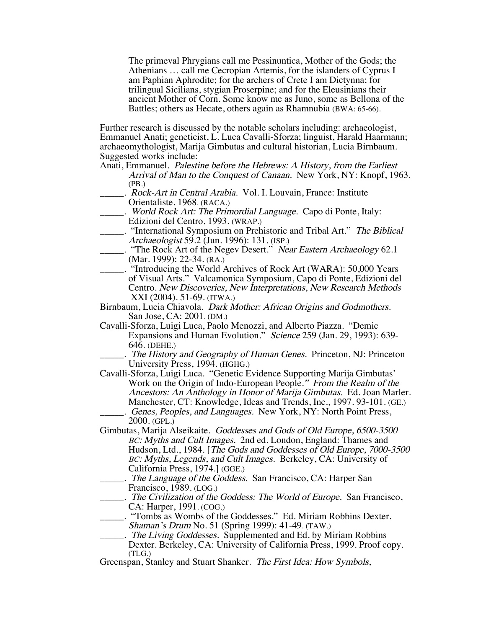The primeval Phrygians call me Pessinuntica, Mother of the Gods; the Athenians … call me Cecropian Artemis, for the islanders of Cyprus I am Paphian Aphrodite; for the archers of Crete I am Dictynna; for trilingual Sicilians, stygian Proserpine; and for the Eleusinians their ancient Mother of Corn. Some know me as Juno, some as Bellona of the Battles; others as Hecate, others again as Rhamnubia (BWA: 65-66).

Further research is discussed by the notable scholars including: archaeologist, Emmanuel Anati; geneticist, L. Luca Cavalli-Sforza; linguist, Harald Haarmann; archaeomythologist, Marija Gimbutas and cultural historian, Lucia Birnbaum. Suggested works include:

- Anati, Emmanuel. Palestine before the Hebrews: A History, from the Earliest Arrival of Man to the Conquest of Canaan. New York, NY: Knopf, 1963. (PB.)
- ... Rock-Art in Central Arabia. Vol. I. Louvain, France: Institute Orientaliste. 1968. (RACA.)
- . World Rock Art: The Primordial Language. Capo di Ponte, Italy: Edizioni del Centro, 1993. (WRAP.)
	- \_\_\_\_\_. "International Symposium on Prehistoric and Tribal Art." The Biblical Archaeologist 59.2 (Jun. 1996): 131. (ISP.)
- \_\_\_\_\_. "The Rock Art of the Negev Desert." Near Eastern Archaeology 62.1 (Mar. 1999): 22-34. (RA.)
- \_\_\_\_\_. "Introducing the World Archives of Rock Art (WARA): 50,000 Years of Visual Arts." Valcamonica Symposium, Capo di Ponte, Edizioni del Centro. New Discoveries, New Interpretations, New Research Methods XXI (2004). 51-69. (ITWA.)
- Birnbaum, Lucia Chiavola. Dark Mother: African Origins and Godmothers. San Jose, CA: 2001. (DM.)
- Cavalli-Sforza, Luigi Luca, Paolo Menozzi, and Alberto Piazza. "Demic Expansions and Human Evolution." Science 259 (Jan. 29, 1993): 639- 646. (DEHE.)
- .. The History and Geography of Human Genes. Princeton, NJ: Princeton University Press, 1994. (HGHG.)
- Cavalli-Sforza, Luigi Luca. "Genetic Evidence Supporting Marija Gimbutas' Work on the Origin of Indo-European People." From the Realm of the Ancestors: An Anthology in Honor of Marija Gimbutas. Ed. Joan Marler. Manchester, CT: Knowledge, Ideas and Trends, Inc., 1997. 93-101. (GE.) . Genes, Peoples, and Languages. New York, NY: North Point Press, 2000. (GPL.)
- Gimbutas, Marija Alseikaite. Goddesses and Gods of Old Europe, 6500-3500 BC: Myths and Cult Images. 2nd ed. London, England: Thames and Hudson, Ltd., 1984. [The Gods and Goddesses of Old Europe, 7000-3500 BC: Myths, Legends, and Cult Images. Berkeley, CA: University of California Press, 1974.] (GGE.)
	- \_\_\_\_\_. The Language of the Goddess. San Francisco, CA: Harper San Francisco, 1989. (LOG.)
- \_\_\_\_\_. The Civilization of the Goddess: The World of Europe. San Francisco, CA: Harper, 1991. (COG.)
- \_\_\_\_\_. "Tombs as Wombs of the Goddesses." Ed. Miriam Robbins Dexter. Shaman's Drum No. 51 (Spring 1999): 41-49. (TAW.)
- . The Living Goddesses. Supplemented and Ed. by Miriam Robbins Dexter. Berkeley, CA: University of California Press, 1999. Proof copy. (TLG.)
- Greenspan, Stanley and Stuart Shanker. The First Idea: How Symbols,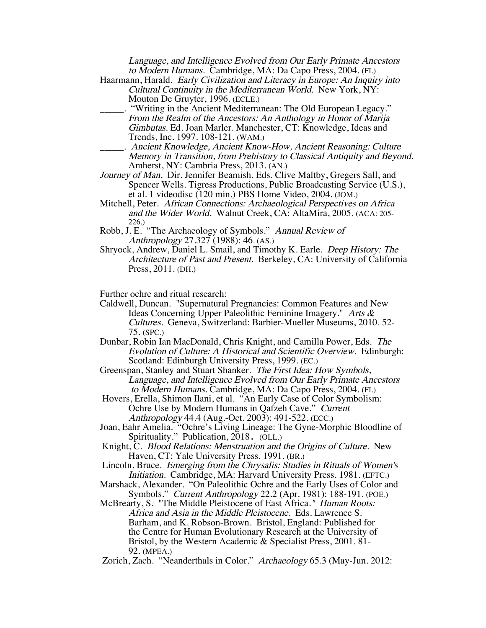Language, and Intelligence Evolved from Our Early Primate Ancestors to Modern Humans. Cambridge, MA: Da Capo Press, 2004. (FI.)

- Haarmann, Harald. Early Civilization and Literacy in Europe: An Inquiry into Cultural Continuity in the Mediterranean World. New York, NY: Mouton De Gruyter, 1996. (ECLE.)
	- \_\_\_\_\_. "Writing in the Ancient Mediterranean: The Old European Legacy." From the Realm of the Ancestors: An Anthology in Honor of Marija Gimbutas. Ed. Joan Marler. Manchester, CT: Knowledge, Ideas and Trends, Inc. 1997. 108-121. (WAM.)
- Ancient Knowledge, Ancient Know-How, Ancient Reasoning: Culture Memory in Transition, from Prehistory to Classical Antiquity and Beyond. Amherst, NY: Cambria Press, 2013. (AN.)
- Journey of Man. Dir. Jennifer Beamish. Eds. Clive Maltby, Gregers Sall, and Spencer Wells. Tigress Productions, Public Broadcasting Service (U.S.), et al. 1 videodisc (120 min.) PBS Home Video, 2004. (JOM.)
- Mitchell, Peter. African Connections: Archaeological Perspectives on Africa and the Wider World. Walnut Creek, CA: AltaMira, 2005. (ACA: 205- 226.)
- Robb, J. E. "The Archaeology of Symbols." Annual Review of Anthropology 27.327 (1988): 46. (AS.)
- Shryock, Andrew, Daniel L. Smail, and Timothy K. Earle. Deep History: The Architecture of Past and Present. Berkeley, CA: University of California Press, 2011. (DH.)

Further ochre and ritual research:

- Caldwell, Duncan. "Supernatural Pregnancies: Common Features and New Ideas Concerning Upper Paleolithic Feminine Imagery." Arts & Cultures. Geneva, Switzerland: Barbier-Mueller Museums, 2010. 52- 75. (SPC.)
- Dunbar, Robin Ian MacDonald, Chris Knight, and Camilla Power, Eds. The Evolution of Culture: A Historical and Scientific Overview. Edinburgh: Scotland: Edinburgh University Press, 1999. (EC.)
- Greenspan, Stanley and Stuart Shanker. The First Idea: How Symbols, Language, and Intelligence Evolved from Our Early Primate Ancestors to Modern Humans. Cambridge, MA: Da Capo Press, 2004. (FI.)
- Hovers, Erella, Shimon Ilani, et al. "An Early Case of Color Symbolism: Ochre Use by Modern Humans in Qafzeh Cave." Current Anthropology 44.4 (Aug.-Oct. 2003): 491-522. (ECC.)
- Joan, Eahr Amelia. "Ochre's Living Lineage: The Gyne-Morphic Bloodline of Spirituality." Publication, 2018. (OLL.)
- Knight, C. Blood Relations: Menstruation and the Origins of Culture. New Haven, CT: Yale University Press. 1991. (BR.)
- Lincoln, Bruce. Emerging from the Chrysalis: Studies in Rituals of Women's Initiation. Cambridge, MA: Harvard University Press. 1981. (EFTC.)
- Marshack, Alexander. "On Paleolithic Ochre and the Early Uses of Color and Symbols." Current Anthropology 22.2 (Apr. 1981): 188-191. (POE.)
- McBrearty, S. "The Middle Pleistocene of East Africa." Human Roots: Africa and Asia in the Middle Pleistocene. Eds. Lawrence S. Barham, and K. Robson-Brown. Bristol, England: Published for the Centre for Human Evolutionary Research at the University of Bristol, by the Western Academic & Specialist Press, 2001. 81- 92. (MPEA.)
- Zorich, Zach. "Neanderthals in Color." Archaeology 65.3 (May-Jun. 2012: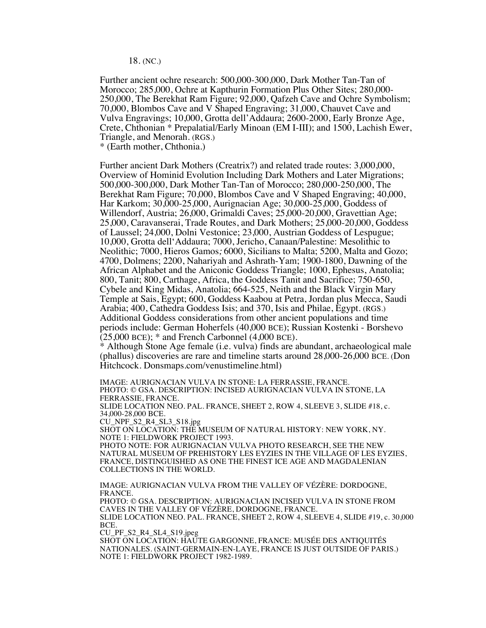18. (NC.)

Further ancient ochre research: 500,000-300,000, Dark Mother Tan-Tan of Morocco; 285,000, Ochre at Kapthurin Formation Plus Other Sites; 280,000- 250,000, The Berekhat Ram Figure; 92,000, Qafzeh Cave and Ochre Symbolism; 70,000, Blombos Cave and V Shaped Engraving; 31,000, Chauvet Cave and Vulva Engravings; 10,000, Grotta dell'Addaura; 2600-2000, Early Bronze Age, Crete, Chthonian \* Prepalatial/Early Minoan (EM I-III); and 1500, Lachish Ewer, Triangle, and Menorah. (RGS.)

\* (Earth mother, Chthonia.)

Further ancient Dark Mothers (Creatrix?) and related trade routes: 3,000,000, Overview of Hominid Evolution Including Dark Mothers and Later Migrations; 500,000-300,000, Dark Mother Tan-Tan of Morocco; 280,000-250,000, The Berekhat Ram Figure; 70,000, Blombos Cave and V Shaped Engraving; 40,000, Har Karkom; 30,000-25,000, Aurignacian Age; 30,000-25,000, Goddess of Willendorf, Austria; 26,000, Grimaldi Caves; 25,000-20,000, Gravettian Age; 25,000, Caravanserai, Trade Routes, and Dark Mothers; 25,000-20,000, Goddess of Laussel; 24,000, Dolni Vestonice; 23,000, Austrian Goddess of Lespugue; 10,000, Grotta dell'Addaura; 7000, Jericho, Canaan/Palestine: Mesolithic to Neolithic; 7000, Hieros Gamos; 6000, Sicilians to Malta; 5200, Malta and Gozo; 4700, Dolmens; 2200, Nahariyah and Ashrath-Yam; 1900-1800, Dawning of the African Alphabet and the Aniconic Goddess Triangle; 1000, Ephesus, Anatolia; 800, Tanit; 800, Carthage, Africa, the Goddess Tanit and Sacrifice; 750-650, Cybele and King Midas, Anatolia; 664-525, Neith and the Black Virgin Mary Temple at Sais, Egypt; 600, Goddess Kaabou at Petra, Jordan plus Mecca, Saudi Arabia; 400, Cathedra Goddess Isis; and 370, Isis and Philae, Egypt. (RGS.) Additional Goddess considerations from other ancient populations and time periods include: German Hoherfels (40,000 BCE); Russian Kostenki - Borshevo  $(25,000 \text{ BCE})$ ;  $*$  and French Carbonnel  $(4,000 \text{ BCE})$ .

\* Although Stone Age female (i.e. vulva) finds are abundant, archaeological male (phallus) discoveries are rare and timeline starts around 28,000-26,000 BCE. (Don Hitchcock. Donsmaps.com/venustimeline.html)

IMAGE: AURIGNACIAN VULVA IN STONE: LA FERRASSIE, FRANCE. PHOTO: © GSA. DESCRIPTION: INCISED AURIGNACIAN VULVA IN STONE, LA FERRASSIE, FRANCE. SLIDE LOCATION NEO. PAL. FRANCE, SHEET 2, ROW 4, SLEEVE 3, SLIDE #18, c. 34,000-28,000 BCE. CU\_NPF\_S2\_R4\_SL3\_S18.jpg SHOT ON LOCATION: THE MUSEUM OF NATURAL HISTORY: NEW YORK, NY. NOTE 1: FIELDWORK PROJECT 1993. PHOTO NOTE: FOR AURIGNACIAN VULVA PHOTO RESEARCH, SEE THE NEW NATURAL MUSEUM OF PREHISTORY LES EYZIES IN THE VILLAGE OF LES EYZIES, FRANCE, DISTINGUISHED AS ONE THE FINEST ICE AGE AND MAGDALENIAN COLLECTIONS IN THE WORLD. IMAGE: AURIGNACIAN VULVA FROM THE VALLEY OF VÉZÈRE: DORDOGNE, FRANCE.

PHOTO: © GSA. DESCRIPTION: AURIGNACIAN INCISED VULVA IN STONE FROM CAVES IN THE VALLEY OF VÉZÈRE, DORDOGNE, FRANCE. SLIDE LOCATION NEO. PAL. FRANCE, SHEET 2, ROW 4, SLEEVE 4, SLIDE #19, c. 30,000 BCE. CU\_PF\_S2\_R4\_SL4\_S19.jpeg SHOT ON LOCATION: HAUTE GARGONNE, FRANCE: MUSÉE DES ANTIQUITÉS NATIONALES. (SAINT-GERMAIN-EN-LAYE, FRANCE IS JUST OUTSIDE OF PARIS.) NOTE 1: FIELDWORK PROJECT 1982-1989.